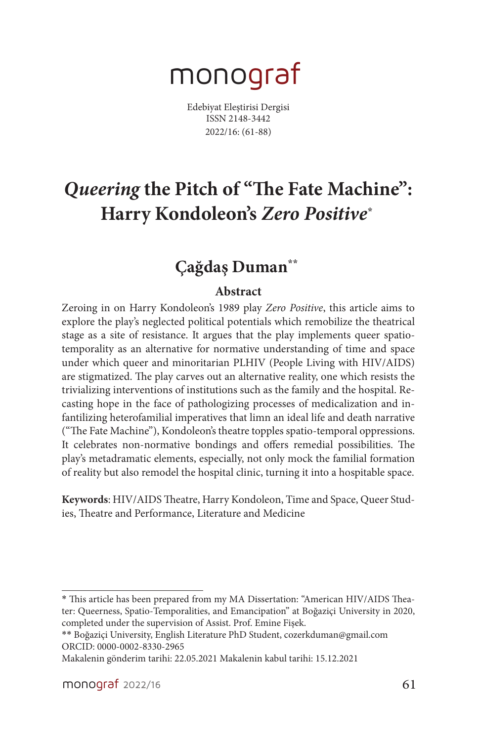# monograf

Edebiyat Eleştirisi Dergisi ISSN 2148-3442 2022/16: (61-88)

# *Queering* **the Pitch of "The Fate Machine": Harry Kondoleon's** *Zero Positive***\***<sup>1</sup>

# **Çağdaş Duman\*\***<sup>2</sup>

#### **Abstract**

Zeroing in on Harry Kondoleon's 1989 play *Zero Positive*, this article aims to explore the play's neglected political potentials which remobilize the theatrical stage as a site of resistance. It argues that the play implements queer spatiotemporality as an alternative for normative understanding of time and space under which queer and minoritarian PLHIV (People Living with HIV/AIDS) are stigmatized. The play carves out an alternative reality, one which resists the trivializing interventions of institutions such as the family and the hospital. Recasting hope in the face of pathologizing processes of medicalization and infantilizing heterofamilial imperatives that limn an ideal life and death narrative ("The Fate Machine"), Kondoleon's theatre topples spatio-temporal oppressions. It celebrates non-normative bondings and offers remedial possibilities. The play's metadramatic elements, especially, not only mock the familial formation of reality but also remodel the hospital clinic, turning it into a hospitable space.

**Keywords**: HIV/AIDS Theatre, Harry Kondoleon, Time and Space, Queer Studies, Theatre and Performance, Literature and Medicine

<sup>\*</sup> This article has been prepared from my MA Dissertation: "American HIV/AIDS Theater: Queerness, Spatio-Temporalities, and Emancipation" at Boğaziçi University in 2020, completed under the supervision of Assist. Prof. Emine Fişek.

<sup>\*\*</sup> Boğaziçi University, English Literature PhD Student, cozerkduman@gmail.com ORCID: 0000-0002-8330-2965

Makalenin gönderim tarihi: 22.05.2021 Makalenin kabul tarihi: 15.12.2021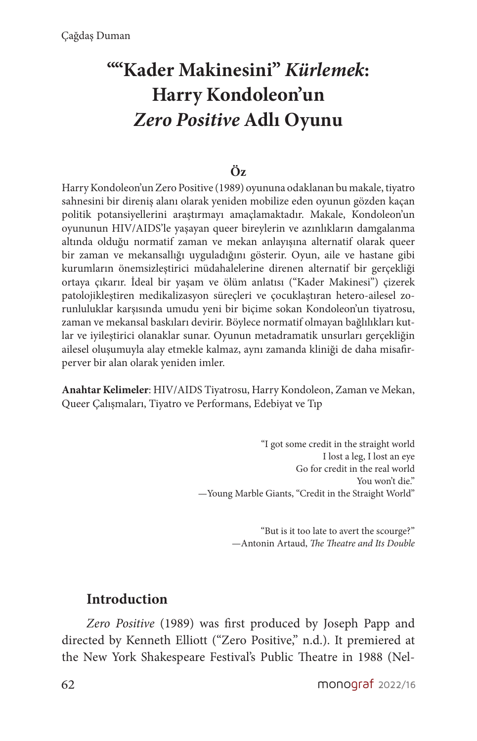# **""Kader Makinesini"** *Kürlemek***: Harry Kondoleon'un**  *Zero Positive* **Adlı Oyunu**

#### **Öz**

Harry Kondoleon'un Zero Positive (1989) oyununa odaklanan bu makale, tiyatro sahnesini bir direniş alanı olarak yeniden mobilize eden oyunun gözden kaçan politik potansiyellerini araştırmayı amaçlamaktadır. Makale, Kondoleon'un oyununun HIV/AIDS'le yaşayan queer bireylerin ve azınlıkların damgalanma altında olduğu normatif zaman ve mekan anlayışına alternatif olarak queer bir zaman ve mekansallığı uyguladığını gösterir. Oyun, aile ve hastane gibi kurumların önemsizleştirici müdahalelerine direnen alternatif bir gerçekliği ortaya çıkarır. İdeal bir yaşam ve ölüm anlatısı ("Kader Makinesi") çizerek patolojikleştiren medikalizasyon süreçleri ve çocuklaştıran hetero-ailesel zorunluluklar karşısında umudu yeni bir biçime sokan Kondoleon'un tiyatrosu, zaman ve mekansal baskıları devirir. Böylece normatif olmayan bağlılıkları kutlar ve iyileştirici olanaklar sunar. Oyunun metadramatik unsurları gerçekliğin ailesel oluşumuyla alay etmekle kalmaz, aynı zamanda kliniği de daha misafirperver bir alan olarak yeniden imler.

**Anahtar Kelimeler**: HIV/AIDS Tiyatrosu, Harry Kondoleon, Zaman ve Mekan, Queer Çalışmaları, Tiyatro ve Performans, Edebiyat ve Tıp

> "I got some credit in the straight world I lost a leg, I lost an eye Go for credit in the real world You won't die." —Young Marble Giants, "Credit in the Straight World"

> > "But is it too late to avert the scourge?" —Antonin Artaud, *The Theatre and Its Double*

## **Introduction**

*Zero Positive* (1989) was first produced by Joseph Papp and directed by Kenneth Elliott ("Zero Positive," n.d.). It premiered at the New York Shakespeare Festival's Public Theatre in 1988 (Nel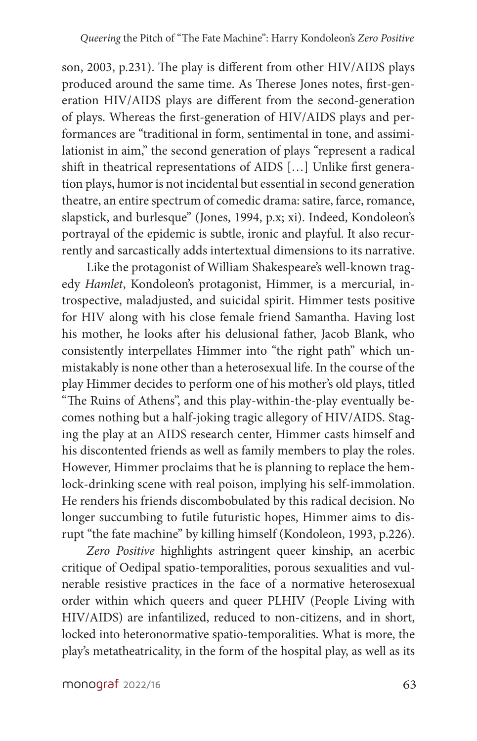son, 2003, p.231). The play is different from other HIV/AIDS plays produced around the same time. As Therese Jones notes, first-generation HIV/AIDS plays are different from the second-generation of plays. Whereas the first-generation of HIV/AIDS plays and performances are "traditional in form, sentimental in tone, and assimilationist in aim," the second generation of plays "represent a radical shift in theatrical representations of AIDS […] Unlike first generation plays, humor is not incidental but essential in second generation theatre, an entire spectrum of comedic drama: satire, farce, romance, slapstick, and burlesque" (Jones, 1994, p.x; xi). Indeed, Kondoleon's portrayal of the epidemic is subtle, ironic and playful. It also recurrently and sarcastically adds intertextual dimensions to its narrative.

Like the protagonist of William Shakespeare's well-known tragedy *Hamlet*, Kondoleon's protagonist, Himmer, is a mercurial, introspective, maladjusted, and suicidal spirit. Himmer tests positive for HIV along with his close female friend Samantha. Having lost his mother, he looks after his delusional father, Jacob Blank, who consistently interpellates Himmer into "the right path" which unmistakably is none other than a heterosexual life. In the course of the play Himmer decides to perform one of his mother's old plays, titled "The Ruins of Athens", and this play-within-the-play eventually becomes nothing but a half-joking tragic allegory of HIV/AIDS. Staging the play at an AIDS research center, Himmer casts himself and his discontented friends as well as family members to play the roles. However, Himmer proclaims that he is planning to replace the hemlock-drinking scene with real poison, implying his self-immolation. He renders his friends discombobulated by this radical decision. No longer succumbing to futile futuristic hopes, Himmer aims to disrupt "the fate machine" by killing himself (Kondoleon, 1993, p.226).

*Zero Positive* highlights astringent queer kinship, an acerbic critique of Oedipal spatio-temporalities, porous sexualities and vulnerable resistive practices in the face of a normative heterosexual order within which queers and queer PLHIV (People Living with HIV/AIDS) are infantilized, reduced to non-citizens, and in short, locked into heteronormative spatio-temporalities. What is more, the play's metatheatricality, in the form of the hospital play, as well as its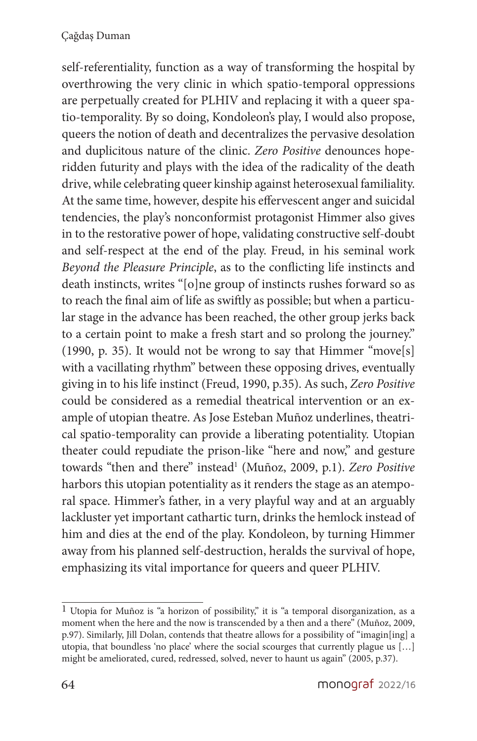self-referentiality, function as a way of transforming the hospital by overthrowing the very clinic in which spatio-temporal oppressions are perpetually created for PLHIV and replacing it with a queer spatio-temporality. By so doing, Kondoleon's play, I would also propose, queers the notion of death and decentralizes the pervasive desolation and duplicitous nature of the clinic. *Zero Positive* denounces hoperidden futurity and plays with the idea of the radicality of the death drive, while celebrating queer kinship against heterosexual familiality. At the same time, however, despite his effervescent anger and suicidal tendencies, the play's nonconformist protagonist Himmer also gives in to the restorative power of hope, validating constructive self-doubt and self-respect at the end of the play. Freud, in his seminal work *Beyond the Pleasure Principle*, as to the conflicting life instincts and death instincts, writes "[o]ne group of instincts rushes forward so as to reach the final aim of life as swiftly as possible; but when a particular stage in the advance has been reached, the other group jerks back to a certain point to make a fresh start and so prolong the journey." (1990, p. 35). It would not be wrong to say that Himmer "move[s] with a vacillating rhythm" between these opposing drives, eventually giving in to his life instinct (Freud, 1990, p.35). As such, *Zero Positive* could be considered as a remedial theatrical intervention or an example of utopian theatre. As Jose Esteban Muñoz underlines, theatrical spatio-temporality can provide a liberating potentiality. Utopian theater could repudiate the prison-like "here and now," and gesture towards "then and there" instead<sup>1</sup> (Muñoz, 2009, p.1). *Zero Positive* harbors this utopian potentiality as it renders the stage as an atemporal space. Himmer's father, in a very playful way and at an arguably lackluster yet important cathartic turn, drinks the hemlock instead of him and dies at the end of the play. Kondoleon, by turning Himmer away from his planned self-destruction, heralds the survival of hope, emphasizing its vital importance for queers and queer PLHIV.

<sup>1</sup> Utopia for Muñoz is "a horizon of possibility," it is "a temporal disorganization, as a moment when the here and the now is transcended by a then and a there" (Muñoz, 2009, p.97). Similarly, Jill Dolan, contends that theatre allows for a possibility of "imagin[ing] a utopia, that boundless 'no place' where the social scourges that currently plague us […] might be ameliorated, cured, redressed, solved, never to haunt us again" (2005, p.37).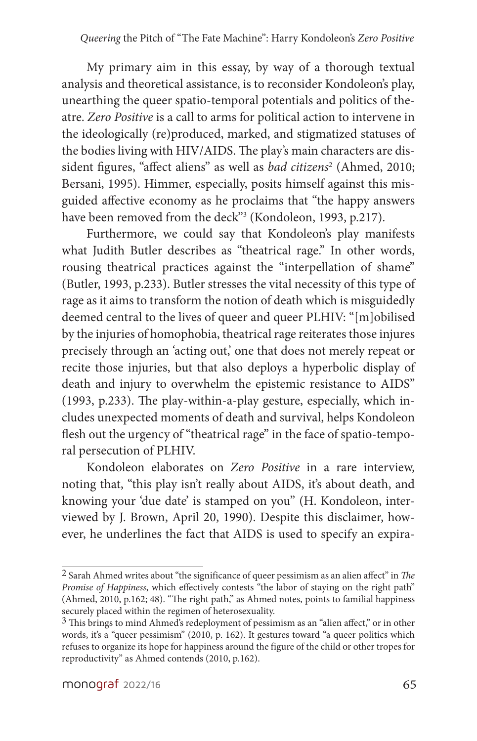My primary aim in this essay, by way of a thorough textual analysis and theoretical assistance, is to reconsider Kondoleon's play, unearthing the queer spatio-temporal potentials and politics of theatre. *Zero Positive* is a call to arms for political action to intervene in the ideologically (re)produced, marked, and stigmatized statuses of the bodies living with HIV/AIDS. The play's main characters are dissident figures, "affect aliens" as well as *bad citizens<sup>2</sup>* (Ahmed, 2010; Bersani, 1995). Himmer, especially, posits himself against this misguided affective economy as he proclaims that "the happy answers have been removed from the deck"3 (Kondoleon, 1993, p.217).

Furthermore, we could say that Kondoleon's play manifests what Judith Butler describes as "theatrical rage." In other words, rousing theatrical practices against the "interpellation of shame" (Butler, 1993, p.233). Butler stresses the vital necessity of this type of rage as it aims to transform the notion of death which is misguidedly deemed central to the lives of queer and queer PLHIV: "[m]obilised by the injuries of homophobia, theatrical rage reiterates those injures precisely through an 'acting out,' one that does not merely repeat or recite those injuries, but that also deploys a hyperbolic display of death and injury to overwhelm the epistemic resistance to AIDS" (1993, p.233). The play-within-a-play gesture, especially, which includes unexpected moments of death and survival, helps Kondoleon flesh out the urgency of "theatrical rage" in the face of spatio-temporal persecution of PLHIV.

Kondoleon elaborates on *Zero Positive* in a rare interview, noting that, "this play isn't really about AIDS, it's about death, and knowing your 'due date' is stamped on you" (H. Kondoleon, interviewed by J. Brown, April 20, 1990). Despite this disclaimer, however, he underlines the fact that AIDS is used to specify an expira-

<sup>2</sup> Sarah Ahmed writes about "the significance of queer pessimism as an alien affect" in *The Promise of Happiness*, which effectively contests "the labor of staying on the right path" (Ahmed, 2010, p.162; 48). "The right path," as Ahmed notes, points to familial happiness securely placed within the regimen of heterosexuality.

 $3$  This brings to mind Ahmed's redeployment of pessimism as an "alien affect," or in other words, it's a "queer pessimism" (2010, p. 162). It gestures toward "a queer politics which refuses to organize its hope for happiness around the figure of the child or other tropes for reproductivity" as Ahmed contends (2010, p.162).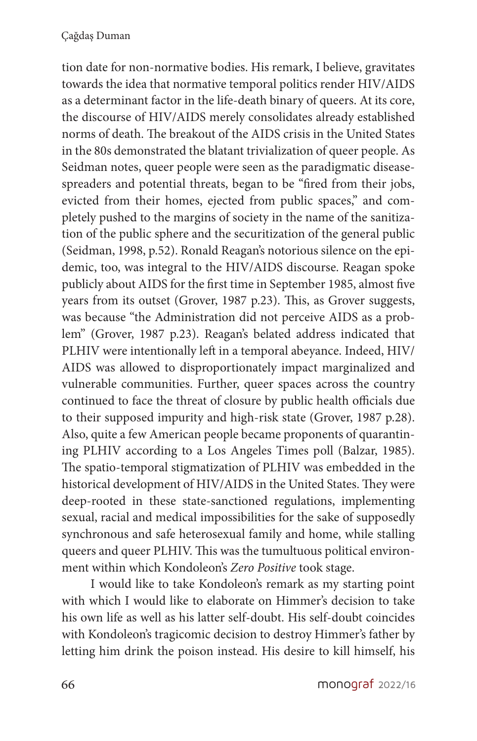tion date for non-normative bodies. His remark, I believe, gravitates towards the idea that normative temporal politics render HIV/AIDS as a determinant factor in the life-death binary of queers. At its core, the discourse of HIV/AIDS merely consolidates already established norms of death. The breakout of the AIDS crisis in the United States in the 80s demonstrated the blatant trivialization of queer people. As Seidman notes, queer people were seen as the paradigmatic diseasespreaders and potential threats, began to be "fired from their jobs, evicted from their homes, ejected from public spaces," and completely pushed to the margins of society in the name of the sanitization of the public sphere and the securitization of the general public (Seidman, 1998, p.52). Ronald Reagan's notorious silence on the epidemic, too, was integral to the HIV/AIDS discourse. Reagan spoke publicly about AIDS for the first time in September 1985, almost five years from its outset (Grover, 1987 p.23). This, as Grover suggests, was because "the Administration did not perceive AIDS as a problem" (Grover, 1987 p.23). Reagan's belated address indicated that PLHIV were intentionally left in a temporal abeyance. Indeed, HIV/ AIDS was allowed to disproportionately impact marginalized and vulnerable communities. Further, queer spaces across the country continued to face the threat of closure by public health officials due to their supposed impurity and high-risk state (Grover, 1987 p.28). Also, quite a few American people became proponents of quarantining PLHIV according to a Los Angeles Times poll (Balzar, 1985). The spatio-temporal stigmatization of PLHIV was embedded in the historical development of HIV/AIDS in the United States. They were deep-rooted in these state-sanctioned regulations, implementing sexual, racial and medical impossibilities for the sake of supposedly synchronous and safe heterosexual family and home, while stalling queers and queer PLHIV. This was the tumultuous political environment within which Kondoleon's *Zero Positive* took stage.

 I would like to take Kondoleon's remark as my starting point with which I would like to elaborate on Himmer's decision to take his own life as well as his latter self-doubt. His self-doubt coincides with Kondoleon's tragicomic decision to destroy Himmer's father by letting him drink the poison instead. His desire to kill himself, his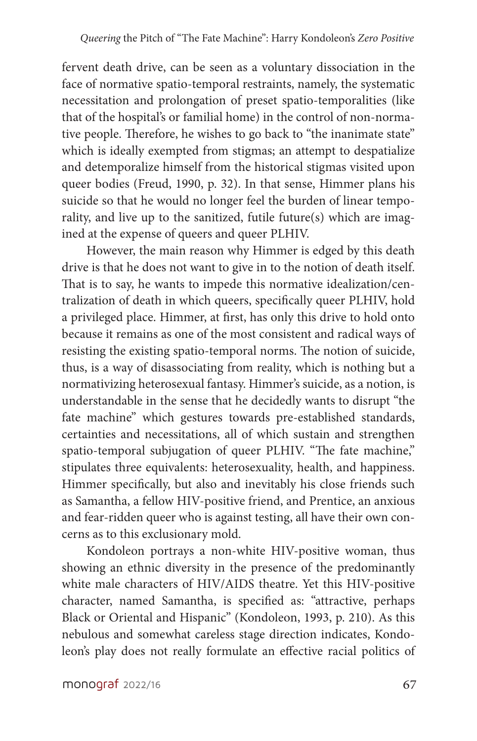fervent death drive, can be seen as a voluntary dissociation in the face of normative spatio-temporal restraints, namely, the systematic necessitation and prolongation of preset spatio-temporalities (like that of the hospital's or familial home) in the control of non-normative people. Therefore, he wishes to go back to "the inanimate state" which is ideally exempted from stigmas; an attempt to despatialize and detemporalize himself from the historical stigmas visited upon queer bodies (Freud, 1990, p. 32). In that sense, Himmer plans his suicide so that he would no longer feel the burden of linear temporality, and live up to the sanitized, futile future(s) which are imagined at the expense of queers and queer PLHIV.

However, the main reason why Himmer is edged by this death drive is that he does not want to give in to the notion of death itself. That is to say, he wants to impede this normative idealization/centralization of death in which queers, specifically queer PLHIV, hold a privileged place. Himmer, at first, has only this drive to hold onto because it remains as one of the most consistent and radical ways of resisting the existing spatio-temporal norms. The notion of suicide, thus, is a way of disassociating from reality, which is nothing but a normativizing heterosexual fantasy. Himmer's suicide, as a notion, is understandable in the sense that he decidedly wants to disrupt "the fate machine" which gestures towards pre-established standards, certainties and necessitations, all of which sustain and strengthen spatio-temporal subjugation of queer PLHIV. "The fate machine," stipulates three equivalents: heterosexuality, health, and happiness. Himmer specifically, but also and inevitably his close friends such as Samantha, a fellow HIV-positive friend, and Prentice, an anxious and fear-ridden queer who is against testing, all have their own concerns as to this exclusionary mold.

Kondoleon portrays a non-white HIV-positive woman, thus showing an ethnic diversity in the presence of the predominantly white male characters of HIV/AIDS theatre. Yet this HIV-positive character, named Samantha, is specified as: "attractive, perhaps Black or Oriental and Hispanic" (Kondoleon, 1993, p. 210). As this nebulous and somewhat careless stage direction indicates, Kondoleon's play does not really formulate an effective racial politics of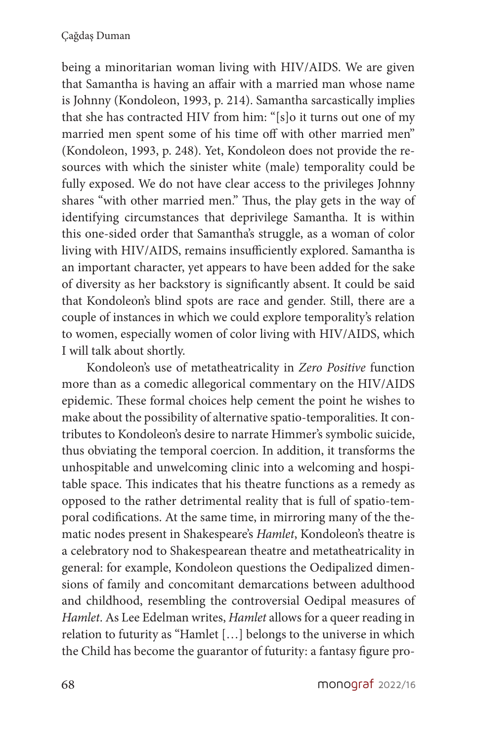being a minoritarian woman living with HIV/AIDS. We are given that Samantha is having an affair with a married man whose name is Johnny (Kondoleon, 1993, p. 214). Samantha sarcastically implies that she has contracted HIV from him: "[s]o it turns out one of my married men spent some of his time off with other married men" (Kondoleon, 1993, p. 248). Yet, Kondoleon does not provide the resources with which the sinister white (male) temporality could be fully exposed. We do not have clear access to the privileges Johnny shares "with other married men." Thus, the play gets in the way of identifying circumstances that deprivilege Samantha. It is within this one-sided order that Samantha's struggle, as a woman of color living with HIV/AIDS, remains insufficiently explored. Samantha is an important character, yet appears to have been added for the sake of diversity as her backstory is significantly absent. It could be said that Kondoleon's blind spots are race and gender. Still, there are a couple of instances in which we could explore temporality's relation to women, especially women of color living with HIV/AIDS, which I will talk about shortly.

Kondoleon's use of metatheatricality in *Zero Positive* function more than as a comedic allegorical commentary on the HIV/AIDS epidemic. These formal choices help cement the point he wishes to make about the possibility of alternative spatio-temporalities. It contributes to Kondoleon's desire to narrate Himmer's symbolic suicide, thus obviating the temporal coercion. In addition, it transforms the unhospitable and unwelcoming clinic into a welcoming and hospitable space. This indicates that his theatre functions as a remedy as opposed to the rather detrimental reality that is full of spatio-temporal codifications. At the same time, in mirroring many of the thematic nodes present in Shakespeare's *Hamlet*, Kondoleon's theatre is a celebratory nod to Shakespearean theatre and metatheatricality in general: for example, Kondoleon questions the Oedipalized dimensions of family and concomitant demarcations between adulthood and childhood, resembling the controversial Oedipal measures of *Hamlet*. As Lee Edelman writes, *Hamlet* allows for a queer reading in relation to futurity as "Hamlet […] belongs to the universe in which the Child has become the guarantor of futurity: a fantasy figure pro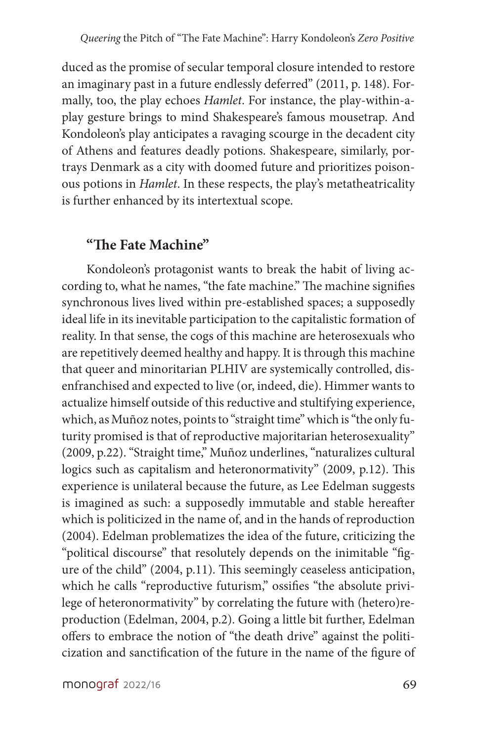duced as the promise of secular temporal closure intended to restore an imaginary past in a future endlessly deferred" (2011, p. 148). Formally, too, the play echoes *Hamlet*. For instance, the play-within-aplay gesture brings to mind Shakespeare's famous mousetrap. And Kondoleon's play anticipates a ravaging scourge in the decadent city of Athens and features deadly potions. Shakespeare, similarly, portrays Denmark as a city with doomed future and prioritizes poisonous potions in *Hamlet*. In these respects, the play's metatheatricality is further enhanced by its intertextual scope.

#### **"The Fate Machine"**

Kondoleon's protagonist wants to break the habit of living according to, what he names, "the fate machine." The machine signifies synchronous lives lived within pre-established spaces; a supposedly ideal life in its inevitable participation to the capitalistic formation of reality. In that sense, the cogs of this machine are heterosexuals who are repetitively deemed healthy and happy. It is through this machine that queer and minoritarian PLHIV are systemically controlled, disenfranchised and expected to live (or, indeed, die). Himmer wants to actualize himself outside of this reductive and stultifying experience, which, as Muñoz notes, points to "straight time" which is "the only futurity promised is that of reproductive majoritarian heterosexuality" (2009, p.22). "Straight time," Muñoz underlines, "naturalizes cultural logics such as capitalism and heteronormativity" (2009, p.12). This experience is unilateral because the future, as Lee Edelman suggests is imagined as such: a supposedly immutable and stable hereafter which is politicized in the name of, and in the hands of reproduction (2004). Edelman problematizes the idea of the future, criticizing the "political discourse" that resolutely depends on the inimitable "figure of the child" (2004, p.11). This seemingly ceaseless anticipation, which he calls "reproductive futurism," ossifies "the absolute privilege of heteronormativity" by correlating the future with (hetero)reproduction (Edelman, 2004, p.2). Going a little bit further, Edelman offers to embrace the notion of "the death drive" against the politicization and sanctification of the future in the name of the figure of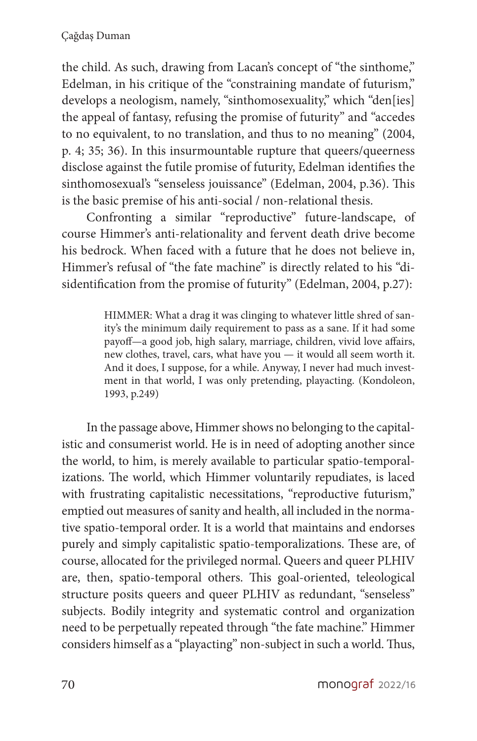the child. As such, drawing from Lacan's concept of "the sinthome," Edelman, in his critique of the "constraining mandate of futurism," develops a neologism, namely, "sinthomosexuality," which "den[ies] the appeal of fantasy, refusing the promise of futurity" and "accedes to no equivalent, to no translation, and thus to no meaning" (2004, p. 4; 35; 36). In this insurmountable rupture that queers/queerness disclose against the futile promise of futurity, Edelman identifies the sinthomosexual's "senseless jouissance" (Edelman, 2004, p.36). This is the basic premise of his anti-social / non-relational thesis.

Confronting a similar "reproductive" future-landscape, of course Himmer's anti-relationality and fervent death drive become his bedrock. When faced with a future that he does not believe in, Himmer's refusal of "the fate machine" is directly related to his "disidentification from the promise of futurity" (Edelman, 2004, p.27):

> HIMMER: What a drag it was clinging to whatever little shred of sanity's the minimum daily requirement to pass as a sane. If it had some payoff—a good job, high salary, marriage, children, vivid love affairs, new clothes, travel, cars, what have you — it would all seem worth it. And it does, I suppose, for a while. Anyway, I never had much investment in that world, I was only pretending, playacting. (Kondoleon, 1993, p.249)

In the passage above, Himmer shows no belonging to the capitalistic and consumerist world. He is in need of adopting another since the world, to him, is merely available to particular spatio-temporalizations. The world, which Himmer voluntarily repudiates, is laced with frustrating capitalistic necessitations, "reproductive futurism," emptied out measures of sanity and health, all included in the normative spatio-temporal order. It is a world that maintains and endorses purely and simply capitalistic spatio-temporalizations. These are, of course, allocated for the privileged normal. Queers and queer PLHIV are, then, spatio-temporal others. This goal-oriented, teleological structure posits queers and queer PLHIV as redundant, "senseless" subjects. Bodily integrity and systematic control and organization need to be perpetually repeated through "the fate machine." Himmer considers himself as a "playacting" non-subject in such a world. Thus,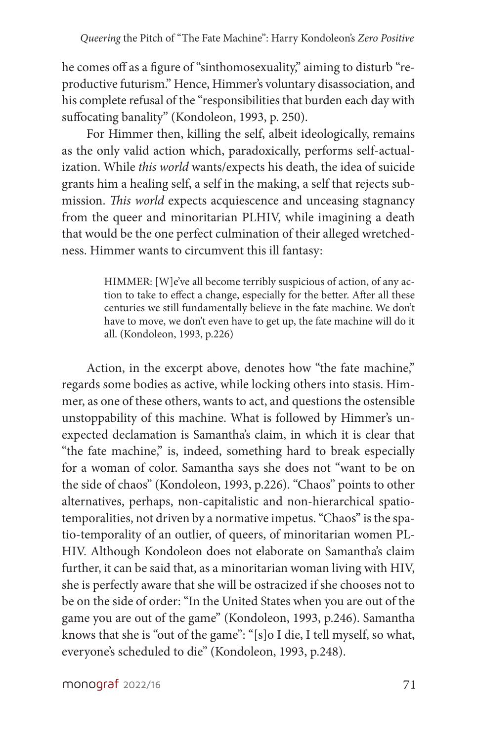he comes off as a figure of "sinthomosexuality," aiming to disturb "reproductive futurism." Hence, Himmer's voluntary disassociation, and his complete refusal of the "responsibilities that burden each day with suffocating banality" (Kondoleon, 1993, p. 250).

For Himmer then, killing the self, albeit ideologically, remains as the only valid action which, paradoxically, performs self-actualization. While *this world* wants/expects his death, the idea of suicide grants him a healing self, a self in the making, a self that rejects submission. *This world* expects acquiescence and unceasing stagnancy from the queer and minoritarian PLHIV, while imagining a death that would be the one perfect culmination of their alleged wretchedness. Himmer wants to circumvent this ill fantasy:

> HIMMER: [W]e've all become terribly suspicious of action, of any action to take to effect a change, especially for the better. After all these centuries we still fundamentally believe in the fate machine. We don't have to move, we don't even have to get up, the fate machine will do it all. (Kondoleon, 1993, p.226)

Action, in the excerpt above, denotes how "the fate machine," regards some bodies as active, while locking others into stasis. Himmer, as one of these others, wants to act, and questions the ostensible unstoppability of this machine. What is followed by Himmer's unexpected declamation is Samantha's claim, in which it is clear that "the fate machine," is, indeed, something hard to break especially for a woman of color. Samantha says she does not "want to be on the side of chaos" (Kondoleon, 1993, p.226). "Chaos" points to other alternatives, perhaps, non-capitalistic and non-hierarchical spatiotemporalities, not driven by a normative impetus. "Chaos" is the spatio-temporality of an outlier, of queers, of minoritarian women PL-HIV. Although Kondoleon does not elaborate on Samantha's claim further, it can be said that, as a minoritarian woman living with HIV, she is perfectly aware that she will be ostracized if she chooses not to be on the side of order: "In the United States when you are out of the game you are out of the game" (Kondoleon, 1993, p.246). Samantha knows that she is "out of the game": "[s]o I die, I tell myself, so what, everyone's scheduled to die" (Kondoleon, 1993, p.248).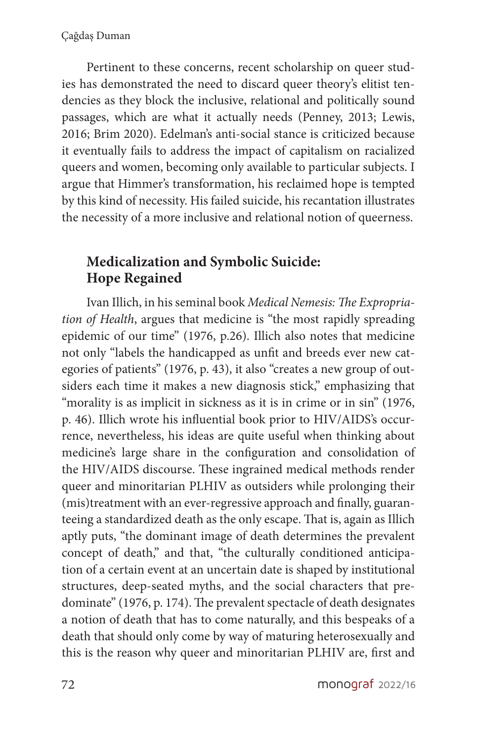Pertinent to these concerns, recent scholarship on queer studies has demonstrated the need to discard queer theory's elitist tendencies as they block the inclusive, relational and politically sound passages, which are what it actually needs (Penney, 2013; Lewis, 2016; Brim 2020). Edelman's anti-social stance is criticized because it eventually fails to address the impact of capitalism on racialized queers and women, becoming only available to particular subjects. I argue that Himmer's transformation, his reclaimed hope is tempted by this kind of necessity. His failed suicide, his recantation illustrates the necessity of a more inclusive and relational notion of queerness.

### **Medicalization and Symbolic Suicide: Hope Regained**

Ivan Illich, in his seminal book *Medical Nemesis: The Expropriation of Health*, argues that medicine is "the most rapidly spreading epidemic of our time" (1976, p.26). Illich also notes that medicine not only "labels the handicapped as unfit and breeds ever new categories of patients" (1976, p. 43), it also "creates a new group of outsiders each time it makes a new diagnosis stick," emphasizing that "morality is as implicit in sickness as it is in crime or in sin" (1976, p. 46). Illich wrote his influential book prior to HIV/AIDS's occurrence, nevertheless, his ideas are quite useful when thinking about medicine's large share in the configuration and consolidation of the HIV/AIDS discourse. These ingrained medical methods render queer and minoritarian PLHIV as outsiders while prolonging their (mis)treatment with an ever-regressive approach and finally, guaranteeing a standardized death as the only escape. That is, again as Illich aptly puts, "the dominant image of death determines the prevalent concept of death," and that, "the culturally conditioned anticipation of a certain event at an uncertain date is shaped by institutional structures, deep-seated myths, and the social characters that predominate" (1976, p. 174). The prevalent spectacle of death designates a notion of death that has to come naturally, and this bespeaks of a death that should only come by way of maturing heterosexually and this is the reason why queer and minoritarian PLHIV are, first and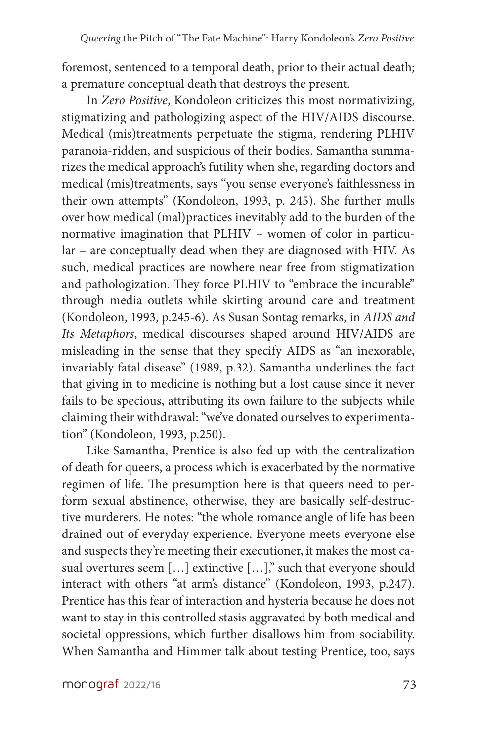foremost, sentenced to a temporal death, prior to their actual death; a premature conceptual death that destroys the present.

In *Zero Positive*, Kondoleon criticizes this most normativizing, stigmatizing and pathologizing aspect of the HIV/AIDS discourse. Medical (mis)treatments perpetuate the stigma, rendering PLHIV paranoia-ridden, and suspicious of their bodies. Samantha summarizes the medical approach's futility when she, regarding doctors and medical (mis)treatments, says "you sense everyone's faithlessness in their own attempts" (Kondoleon, 1993, p. 245). She further mulls over how medical (mal)practices inevitably add to the burden of the normative imagination that PLHIV – women of color in particular – are conceptually dead when they are diagnosed with HIV. As such, medical practices are nowhere near free from stigmatization and pathologization. They force PLHIV to "embrace the incurable" through media outlets while skirting around care and treatment (Kondoleon, 1993, p.245-6). As Susan Sontag remarks, in *AIDS and Its Metaphors*, medical discourses shaped around HIV/AIDS are misleading in the sense that they specify AIDS as "an inexorable, invariably fatal disease" (1989, p.32). Samantha underlines the fact that giving in to medicine is nothing but a lost cause since it never fails to be specious, attributing its own failure to the subjects while claiming their withdrawal: "we've donated ourselves to experimentation" (Kondoleon, 1993, p.250).

Like Samantha, Prentice is also fed up with the centralization of death for queers, a process which is exacerbated by the normative regimen of life. The presumption here is that queers need to perform sexual abstinence, otherwise, they are basically self-destructive murderers. He notes: "the whole romance angle of life has been drained out of everyday experience. Everyone meets everyone else and suspects they're meeting their executioner, it makes the most casual overtures seem [...] extinctive [...]," such that everyone should interact with others "at arm's distance" (Kondoleon, 1993, p.247). Prentice has this fear of interaction and hysteria because he does not want to stay in this controlled stasis aggravated by both medical and societal oppressions, which further disallows him from sociability. When Samantha and Himmer talk about testing Prentice, too, says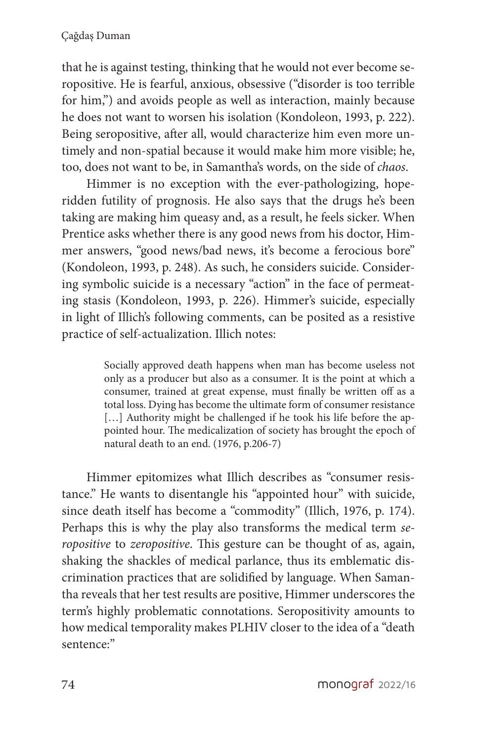that he is against testing, thinking that he would not ever become seropositive. He is fearful, anxious, obsessive ("disorder is too terrible for him,") and avoids people as well as interaction, mainly because he does not want to worsen his isolation (Kondoleon, 1993, p. 222). Being seropositive, after all, would characterize him even more untimely and non-spatial because it would make him more visible; he, too, does not want to be, in Samantha's words, on the side of *chaos*.

Himmer is no exception with the ever-pathologizing, hoperidden futility of prognosis. He also says that the drugs he's been taking are making him queasy and, as a result, he feels sicker. When Prentice asks whether there is any good news from his doctor, Himmer answers, "good news/bad news, it's become a ferocious bore" (Kondoleon, 1993, p. 248). As such, he considers suicide. Considering symbolic suicide is a necessary "action" in the face of permeating stasis (Kondoleon, 1993, p. 226). Himmer's suicide, especially in light of Illich's following comments, can be posited as a resistive practice of self-actualization. Illich notes:

> Socially approved death happens when man has become useless not only as a producer but also as a consumer. It is the point at which a consumer, trained at great expense, must finally be written off as a total loss. Dying has become the ultimate form of consumer resistance [...] Authority might be challenged if he took his life before the appointed hour. The medicalization of society has brought the epoch of natural death to an end. (1976, p.206-7)

Himmer epitomizes what Illich describes as "consumer resistance." He wants to disentangle his "appointed hour" with suicide, since death itself has become a "commodity" (Illich, 1976, p. 174). Perhaps this is why the play also transforms the medical term *seropositive* to *zeropositive*. This gesture can be thought of as, again, shaking the shackles of medical parlance, thus its emblematic discrimination practices that are solidified by language. When Samantha reveals that her test results are positive, Himmer underscores the term's highly problematic connotations. Seropositivity amounts to how medical temporality makes PLHIV closer to the idea of a "death sentence:"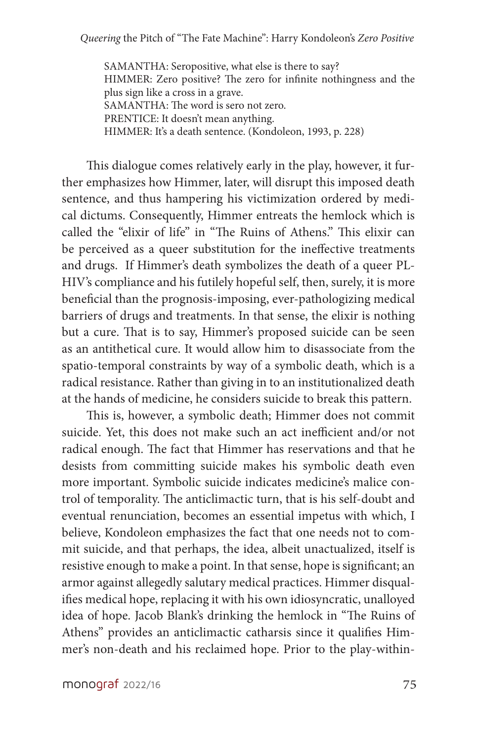*Queering* the Pitch of "The Fate Machine": Harry Kondoleon's *Zero Positive*

SAMANTHA: Seropositive, what else is there to say? HIMMER: Zero positive? The zero for infinite nothingness and the plus sign like a cross in a grave. SAMANTHA: The word is sero not zero. PRENTICE: It doesn't mean anything. HIMMER: It's a death sentence. (Kondoleon, 1993, p. 228)

This dialogue comes relatively early in the play, however, it further emphasizes how Himmer, later, will disrupt this imposed death sentence, and thus hampering his victimization ordered by medical dictums. Consequently, Himmer entreats the hemlock which is called the "elixir of life" in "The Ruins of Athens." This elixir can be perceived as a queer substitution for the ineffective treatments and drugs. If Himmer's death symbolizes the death of a queer PL-HIV's compliance and his futilely hopeful self, then, surely, it is more beneficial than the prognosis-imposing, ever-pathologizing medical barriers of drugs and treatments. In that sense, the elixir is nothing but a cure. That is to say, Himmer's proposed suicide can be seen as an antithetical cure. It would allow him to disassociate from the spatio-temporal constraints by way of a symbolic death, which is a radical resistance. Rather than giving in to an institutionalized death at the hands of medicine, he considers suicide to break this pattern.

This is, however, a symbolic death; Himmer does not commit suicide. Yet, this does not make such an act inefficient and/or not radical enough. The fact that Himmer has reservations and that he desists from committing suicide makes his symbolic death even more important. Symbolic suicide indicates medicine's malice control of temporality. The anticlimactic turn, that is his self-doubt and eventual renunciation, becomes an essential impetus with which, I believe, Kondoleon emphasizes the fact that one needs not to commit suicide, and that perhaps, the idea, albeit unactualized, itself is resistive enough to make a point. In that sense, hope is significant; an armor against allegedly salutary medical practices. Himmer disqualifies medical hope, replacing it with his own idiosyncratic, unalloyed idea of hope. Jacob Blank's drinking the hemlock in "The Ruins of Athens" provides an anticlimactic catharsis since it qualifies Himmer's non-death and his reclaimed hope. Prior to the play-within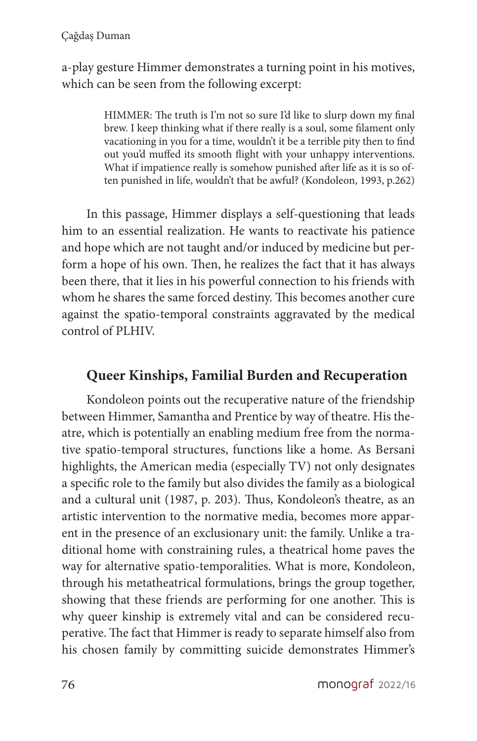a-play gesture Himmer demonstrates a turning point in his motives, which can be seen from the following excerpt:

> HIMMER: The truth is I'm not so sure I'd like to slurp down my final brew. I keep thinking what if there really is a soul, some filament only vacationing in you for a time, wouldn't it be a terrible pity then to find out you'd muffed its smooth flight with your unhappy interventions. What if impatience really is somehow punished after life as it is so often punished in life, wouldn't that be awful? (Kondoleon, 1993, p.262)

In this passage, Himmer displays a self-questioning that leads him to an essential realization. He wants to reactivate his patience and hope which are not taught and/or induced by medicine but perform a hope of his own. Then, he realizes the fact that it has always been there, that it lies in his powerful connection to his friends with whom he shares the same forced destiny. This becomes another cure against the spatio-temporal constraints aggravated by the medical control of PLHIV.

#### **Queer Kinships, Familial Burden and Recuperation**

Kondoleon points out the recuperative nature of the friendship between Himmer, Samantha and Prentice by way of theatre. His theatre, which is potentially an enabling medium free from the normative spatio-temporal structures, functions like a home. As Bersani highlights, the American media (especially TV) not only designates a specific role to the family but also divides the family as a biological and a cultural unit (1987, p. 203). Thus, Kondoleon's theatre, as an artistic intervention to the normative media, becomes more apparent in the presence of an exclusionary unit: the family. Unlike a traditional home with constraining rules, a theatrical home paves the way for alternative spatio-temporalities. What is more, Kondoleon, through his metatheatrical formulations, brings the group together, showing that these friends are performing for one another. This is why queer kinship is extremely vital and can be considered recuperative. The fact that Himmer is ready to separate himself also from his chosen family by committing suicide demonstrates Himmer's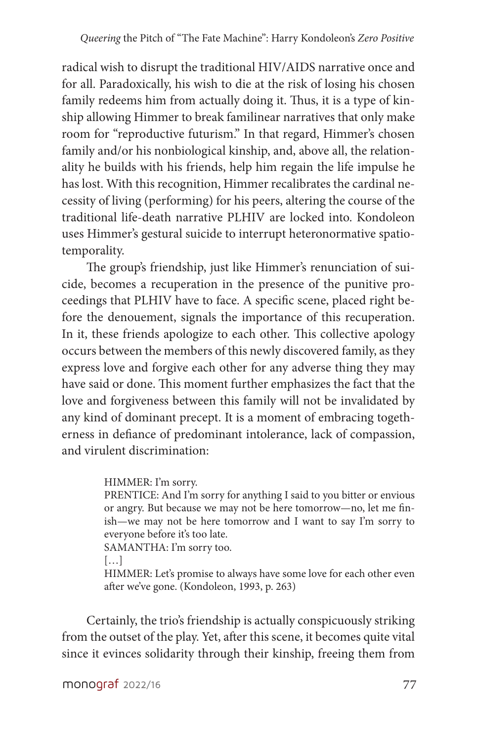radical wish to disrupt the traditional HIV/AIDS narrative once and for all. Paradoxically, his wish to die at the risk of losing his chosen family redeems him from actually doing it. Thus, it is a type of kinship allowing Himmer to break familinear narratives that only make room for "reproductive futurism." In that regard, Himmer's chosen family and/or his nonbiological kinship, and, above all, the relationality he builds with his friends, help him regain the life impulse he has lost. With this recognition, Himmer recalibrates the cardinal necessity of living (performing) for his peers, altering the course of the traditional life-death narrative PLHIV are locked into. Kondoleon uses Himmer's gestural suicide to interrupt heteronormative spatiotemporality.

The group's friendship, just like Himmer's renunciation of suicide, becomes a recuperation in the presence of the punitive proceedings that PLHIV have to face. A specific scene, placed right before the denouement, signals the importance of this recuperation. In it, these friends apologize to each other. This collective apology occurs between the members of this newly discovered family, as they express love and forgive each other for any adverse thing they may have said or done. This moment further emphasizes the fact that the love and forgiveness between this family will not be invalidated by any kind of dominant precept. It is a moment of embracing togetherness in defiance of predominant intolerance, lack of compassion, and virulent discrimination:

HIMMER: I'm sorry.

PRENTICE: And I'm sorry for anything I said to you bitter or envious or angry. But because we may not be here tomorrow—no, let me finish—we may not be here tomorrow and I want to say I'm sorry to everyone before it's too late.

SAMANTHA: I'm sorry too.

 $[...]$ 

HIMMER: Let's promise to always have some love for each other even after we've gone. (Kondoleon, 1993, p. 263)

Certainly, the trio's friendship is actually conspicuously striking from the outset of the play. Yet, after this scene, it becomes quite vital since it evinces solidarity through their kinship, freeing them from

monograf 2022/16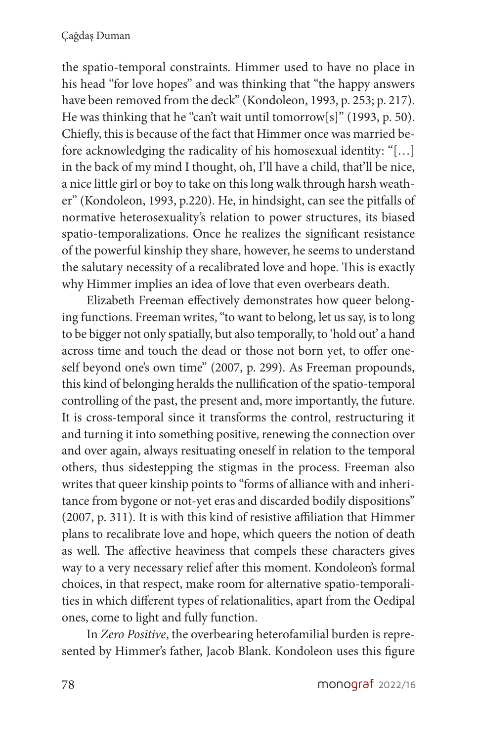the spatio-temporal constraints. Himmer used to have no place in his head "for love hopes" and was thinking that "the happy answers have been removed from the deck" (Kondoleon, 1993, p. 253; p. 217). He was thinking that he "can't wait until tomorrow[s]" (1993, p. 50). Chiefly, this is because of the fact that Himmer once was married before acknowledging the radicality of his homosexual identity: "[…] in the back of my mind I thought, oh, I'll have a child, that'll be nice, a nice little girl or boy to take on this long walk through harsh weather" (Kondoleon, 1993, p.220). He, in hindsight, can see the pitfalls of normative heterosexuality's relation to power structures, its biased spatio-temporalizations. Once he realizes the significant resistance of the powerful kinship they share, however, he seems to understand the salutary necessity of a recalibrated love and hope. This is exactly why Himmer implies an idea of love that even overbears death.

Elizabeth Freeman effectively demonstrates how queer belonging functions. Freeman writes, "to want to belong, let us say, is to long to be bigger not only spatially, but also temporally, to 'hold out' a hand across time and touch the dead or those not born yet, to offer oneself beyond one's own time" (2007, p. 299). As Freeman propounds, this kind of belonging heralds the nullification of the spatio-temporal controlling of the past, the present and, more importantly, the future. It is cross-temporal since it transforms the control, restructuring it and turning it into something positive, renewing the connection over and over again, always resituating oneself in relation to the temporal others, thus sidestepping the stigmas in the process. Freeman also writes that queer kinship points to "forms of alliance with and inheritance from bygone or not-yet eras and discarded bodily dispositions" (2007, p. 311). It is with this kind of resistive affiliation that Himmer plans to recalibrate love and hope, which queers the notion of death as well. The affective heaviness that compels these characters gives way to a very necessary relief after this moment. Kondoleon's formal choices, in that respect, make room for alternative spatio-temporalities in which different types of relationalities, apart from the Oedipal ones, come to light and fully function.

In *Zero Positive*, the overbearing heterofamilial burden is represented by Himmer's father, Jacob Blank. Kondoleon uses this figure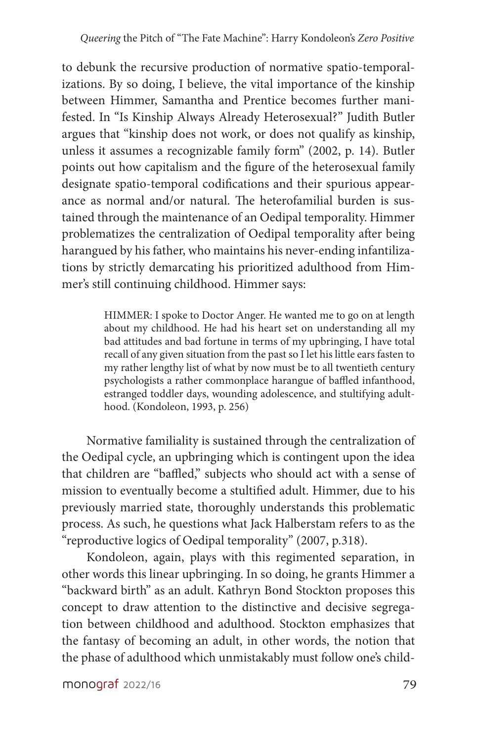to debunk the recursive production of normative spatio-temporalizations. By so doing, I believe, the vital importance of the kinship between Himmer, Samantha and Prentice becomes further manifested. In "Is Kinship Always Already Heterosexual?" Judith Butler argues that "kinship does not work, or does not qualify as kinship, unless it assumes a recognizable family form" (2002, p. 14). Butler points out how capitalism and the figure of the heterosexual family designate spatio-temporal codifications and their spurious appearance as normal and/or natural. The heterofamilial burden is sustained through the maintenance of an Oedipal temporality. Himmer problematizes the centralization of Oedipal temporality after being harangued by his father, who maintains his never-ending infantilizations by strictly demarcating his prioritized adulthood from Himmer's still continuing childhood. Himmer says:

> HIMMER: I spoke to Doctor Anger. He wanted me to go on at length about my childhood. He had his heart set on understanding all my bad attitudes and bad fortune in terms of my upbringing, I have total recall of any given situation from the past so I let his little ears fasten to my rather lengthy list of what by now must be to all twentieth century psychologists a rather commonplace harangue of baffled infanthood, estranged toddler days, wounding adolescence, and stultifying adulthood. (Kondoleon, 1993, p. 256)

Normative familiality is sustained through the centralization of the Oedipal cycle, an upbringing which is contingent upon the idea that children are "baffled," subjects who should act with a sense of mission to eventually become a stultified adult. Himmer, due to his previously married state, thoroughly understands this problematic process. As such, he questions what Jack Halberstam refers to as the "reproductive logics of Oedipal temporality" (2007, p.318).

Kondoleon, again, plays with this regimented separation, in other words this linear upbringing. In so doing, he grants Himmer a "backward birth" as an adult. Kathryn Bond Stockton proposes this concept to draw attention to the distinctive and decisive segregation between childhood and adulthood. Stockton emphasizes that the fantasy of becoming an adult, in other words, the notion that the phase of adulthood which unmistakably must follow one's child-

monograf 2022/16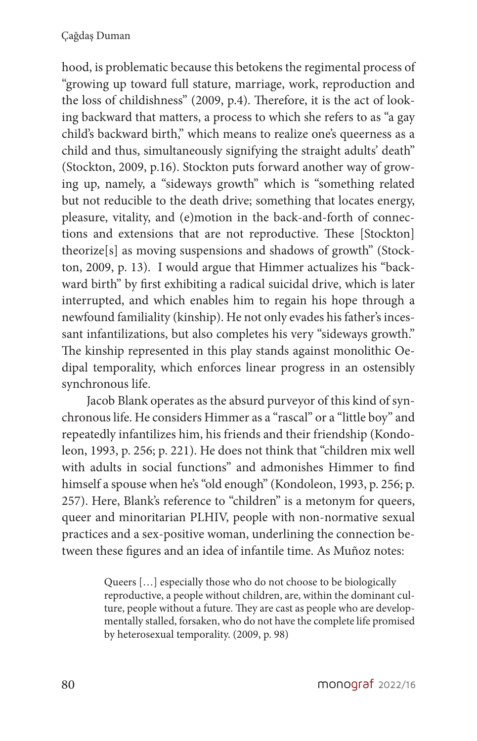hood, is problematic because this betokens the regimental process of "growing up toward full stature, marriage, work, reproduction and the loss of childishness" (2009, p.4). Therefore, it is the act of looking backward that matters, a process to which she refers to as "a gay child's backward birth," which means to realize one's queerness as a child and thus, simultaneously signifying the straight adults' death" (Stockton, 2009, p.16). Stockton puts forward another way of growing up, namely, a "sideways growth" which is "something related but not reducible to the death drive; something that locates energy, pleasure, vitality, and (e)motion in the back-and-forth of connections and extensions that are not reproductive. These [Stockton] theorize[s] as moving suspensions and shadows of growth" (Stockton, 2009, p. 13). I would argue that Himmer actualizes his "backward birth" by first exhibiting a radical suicidal drive, which is later interrupted, and which enables him to regain his hope through a newfound familiality (kinship). He not only evades his father's incessant infantilizations, but also completes his very "sideways growth." The kinship represented in this play stands against monolithic Oedipal temporality, which enforces linear progress in an ostensibly synchronous life.

Jacob Blank operates as the absurd purveyor of this kind of synchronous life. He considers Himmer as a "rascal" or a "little boy" and repeatedly infantilizes him, his friends and their friendship (Kondoleon, 1993, p. 256; p. 221). He does not think that "children mix well with adults in social functions" and admonishes Himmer to find himself a spouse when he's "old enough" (Kondoleon, 1993, p. 256; p. 257). Here, Blank's reference to "children" is a metonym for queers, queer and minoritarian PLHIV, people with non-normative sexual practices and a sex-positive woman, underlining the connection between these figures and an idea of infantile time. As Muñoz notes:

> Queers […] especially those who do not choose to be biologically reproductive, a people without children, are, within the dominant culture, people without a future. They are cast as people who are developmentally stalled, forsaken, who do not have the complete life promised by heterosexual temporality. (2009, p. 98)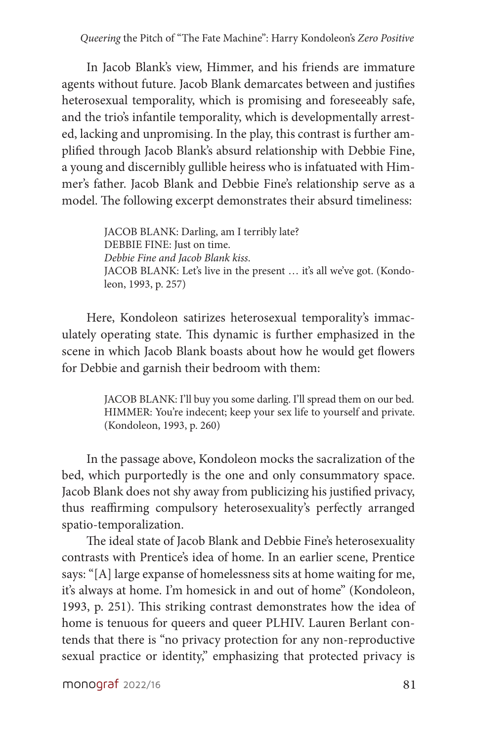*Queering* the Pitch of "The Fate Machine": Harry Kondoleon's *Zero Positive*

In Jacob Blank's view, Himmer, and his friends are immature agents without future. Jacob Blank demarcates between and justifies heterosexual temporality, which is promising and foreseeably safe, and the trio's infantile temporality, which is developmentally arrested, lacking and unpromising. In the play, this contrast is further amplified through Jacob Blank's absurd relationship with Debbie Fine, a young and discernibly gullible heiress who is infatuated with Himmer's father. Jacob Blank and Debbie Fine's relationship serve as a model. The following excerpt demonstrates their absurd timeliness:

> JACOB BLANK: Darling, am I terribly late? DEBBIE FINE: Just on time. *Debbie Fine and Jacob Blank kiss*. JACOB BLANK: Let's live in the present … it's all we've got. (Kondoleon, 1993, p. 257)

Here, Kondoleon satirizes heterosexual temporality's immaculately operating state. This dynamic is further emphasized in the scene in which Jacob Blank boasts about how he would get flowers for Debbie and garnish their bedroom with them:

> JACOB BLANK: I'll buy you some darling. I'll spread them on our bed. HIMMER: You're indecent; keep your sex life to yourself and private. (Kondoleon, 1993, p. 260)

In the passage above, Kondoleon mocks the sacralization of the bed, which purportedly is the one and only consummatory space. Jacob Blank does not shy away from publicizing his justified privacy, thus reaffirming compulsory heterosexuality's perfectly arranged spatio-temporalization.

The ideal state of Jacob Blank and Debbie Fine's heterosexuality contrasts with Prentice's idea of home. In an earlier scene, Prentice says: "[A] large expanse of homelessness sits at home waiting for me, it's always at home. I'm homesick in and out of home" (Kondoleon, 1993, p. 251). This striking contrast demonstrates how the idea of home is tenuous for queers and queer PLHIV. Lauren Berlant contends that there is "no privacy protection for any non-reproductive sexual practice or identity," emphasizing that protected privacy is

monograf 2022/16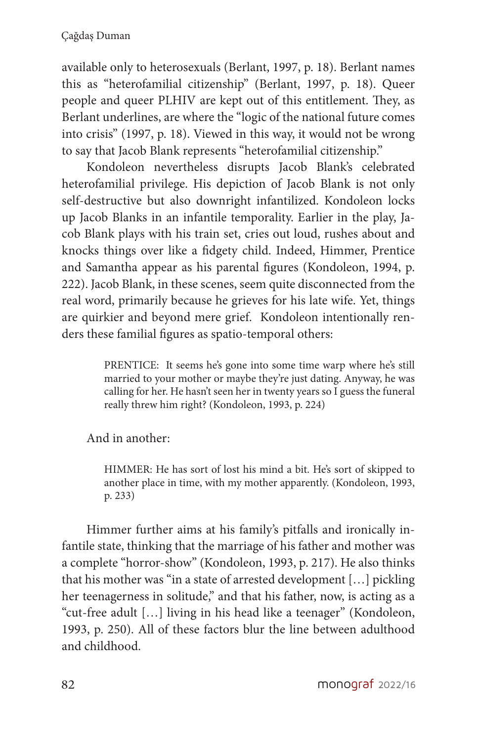available only to heterosexuals (Berlant, 1997, p. 18). Berlant names this as "heterofamilial citizenship" (Berlant, 1997, p. 18). Queer people and queer PLHIV are kept out of this entitlement. They, as Berlant underlines, are where the "logic of the national future comes into crisis" (1997, p. 18). Viewed in this way, it would not be wrong to say that Jacob Blank represents "heterofamilial citizenship."

Kondoleon nevertheless disrupts Jacob Blank's celebrated heterofamilial privilege. His depiction of Jacob Blank is not only self-destructive but also downright infantilized. Kondoleon locks up Jacob Blanks in an infantile temporality. Earlier in the play, Jacob Blank plays with his train set, cries out loud, rushes about and knocks things over like a fidgety child. Indeed, Himmer, Prentice and Samantha appear as his parental figures (Kondoleon, 1994, p. 222). Jacob Blank, in these scenes, seem quite disconnected from the real word, primarily because he grieves for his late wife. Yet, things are quirkier and beyond mere grief. Kondoleon intentionally renders these familial figures as spatio-temporal others:

> PRENTICE: It seems he's gone into some time warp where he's still married to your mother or maybe they're just dating. Anyway, he was calling for her. He hasn't seen her in twenty years so I guess the funeral really threw him right? (Kondoleon, 1993, p. 224)

And in another:

HIMMER: He has sort of lost his mind a bit. He's sort of skipped to another place in time, with my mother apparently. (Kondoleon, 1993, p. 233)

Himmer further aims at his family's pitfalls and ironically infantile state, thinking that the marriage of his father and mother was a complete "horror-show" (Kondoleon, 1993, p. 217). He also thinks that his mother was "in a state of arrested development […] pickling her teenagerness in solitude," and that his father, now, is acting as a "cut-free adult […] living in his head like a teenager" (Kondoleon, 1993, p. 250). All of these factors blur the line between adulthood and childhood.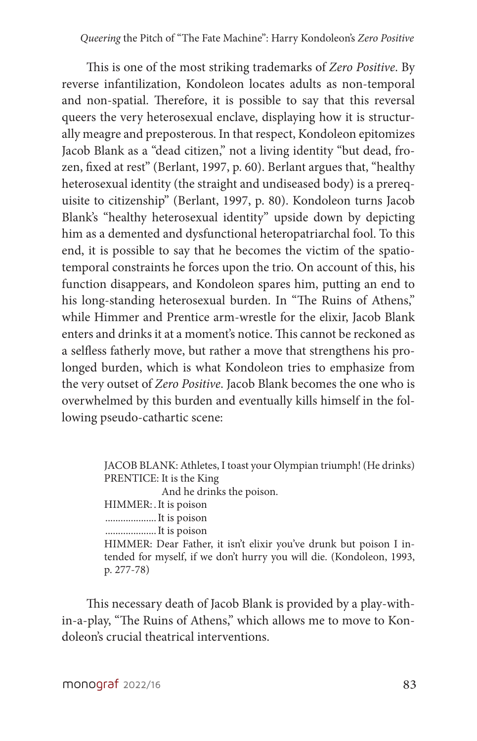This is one of the most striking trademarks of *Zero Positive*. By reverse infantilization, Kondoleon locates adults as non-temporal and non-spatial. Therefore, it is possible to say that this reversal queers the very heterosexual enclave, displaying how it is structurally meagre and preposterous. In that respect, Kondoleon epitomizes Jacob Blank as a "dead citizen," not a living identity "but dead, frozen, fixed at rest" (Berlant, 1997, p. 60). Berlant argues that, "healthy heterosexual identity (the straight and undiseased body) is a prerequisite to citizenship" (Berlant, 1997, p. 80). Kondoleon turns Jacob Blank's "healthy heterosexual identity" upside down by depicting him as a demented and dysfunctional heteropatriarchal fool. To this end, it is possible to say that he becomes the victim of the spatiotemporal constraints he forces upon the trio. On account of this, his function disappears, and Kondoleon spares him, putting an end to his long-standing heterosexual burden. In "The Ruins of Athens," while Himmer and Prentice arm-wrestle for the elixir, Jacob Blank enters and drinks it at a moment's notice. This cannot be reckoned as a selfless fatherly move, but rather a move that strengthens his prolonged burden, which is what Kondoleon tries to emphasize from the very outset of *Zero Positive*. Jacob Blank becomes the one who is overwhelmed by this burden and eventually kills himself in the following pseudo-cathartic scene:

> JACOB BLANK: Athletes, I toast your Olympian triumph! (He drinks) PRENTICE: It is the King And he drinks the poison. HIMMER: .It is poison ....................It is poison ....................It is poison HIMMER: Dear Father, it isn't elixir you've drunk but poison I intended for myself, if we don't hurry you will die. (Kondoleon, 1993, p. 277-78)

This necessary death of Jacob Blank is provided by a play-within-a-play, "The Ruins of Athens," which allows me to move to Kondoleon's crucial theatrical interventions.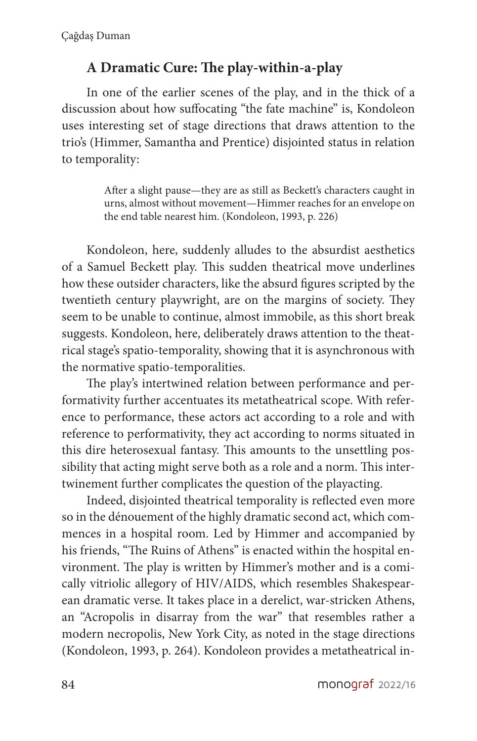## **A Dramatic Cure: The play-within-a-play**

In one of the earlier scenes of the play, and in the thick of a discussion about how suffocating "the fate machine" is, Kondoleon uses interesting set of stage directions that draws attention to the trio's (Himmer, Samantha and Prentice) disjointed status in relation to temporality:

> After a slight pause—they are as still as Beckett's characters caught in urns, almost without movement—Himmer reaches for an envelope on the end table nearest him. (Kondoleon, 1993, p. 226)

Kondoleon, here, suddenly alludes to the absurdist aesthetics of a Samuel Beckett play. This sudden theatrical move underlines how these outsider characters, like the absurd figures scripted by the twentieth century playwright, are on the margins of society. They seem to be unable to continue, almost immobile, as this short break suggests. Kondoleon, here, deliberately draws attention to the theatrical stage's spatio-temporality, showing that it is asynchronous with the normative spatio-temporalities.

The play's intertwined relation between performance and performativity further accentuates its metatheatrical scope. With reference to performance, these actors act according to a role and with reference to performativity, they act according to norms situated in this dire heterosexual fantasy. This amounts to the unsettling possibility that acting might serve both as a role and a norm. This intertwinement further complicates the question of the playacting.

Indeed, disjointed theatrical temporality is reflected even more so in the dénouement of the highly dramatic second act, which commences in a hospital room. Led by Himmer and accompanied by his friends, "The Ruins of Athens" is enacted within the hospital environment. The play is written by Himmer's mother and is a comically vitriolic allegory of HIV/AIDS, which resembles Shakespearean dramatic verse. It takes place in a derelict, war-stricken Athens, an "Acropolis in disarray from the war" that resembles rather a modern necropolis, New York City, as noted in the stage directions (Kondoleon, 1993, p. 264). Kondoleon provides a metatheatrical in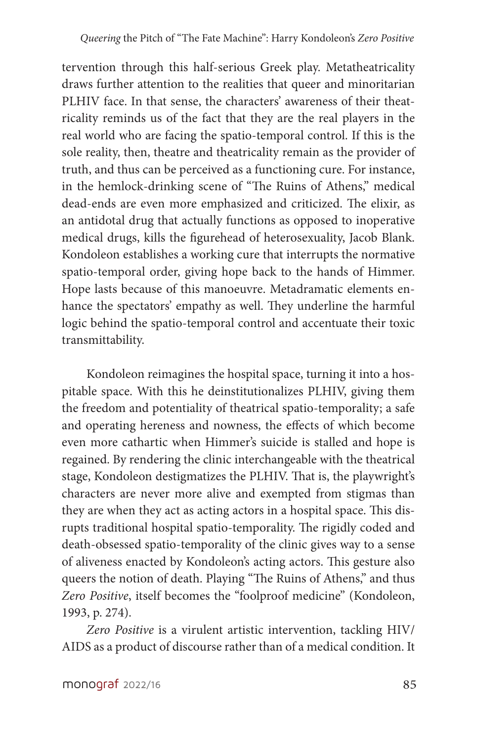tervention through this half-serious Greek play. Metatheatricality draws further attention to the realities that queer and minoritarian PLHIV face. In that sense, the characters' awareness of their theatricality reminds us of the fact that they are the real players in the real world who are facing the spatio-temporal control. If this is the sole reality, then, theatre and theatricality remain as the provider of truth, and thus can be perceived as a functioning cure. For instance, in the hemlock-drinking scene of "The Ruins of Athens," medical dead-ends are even more emphasized and criticized. The elixir, as an antidotal drug that actually functions as opposed to inoperative medical drugs, kills the figurehead of heterosexuality, Jacob Blank. Kondoleon establishes a working cure that interrupts the normative spatio-temporal order, giving hope back to the hands of Himmer. Hope lasts because of this manoeuvre. Metadramatic elements enhance the spectators' empathy as well. They underline the harmful logic behind the spatio-temporal control and accentuate their toxic transmittability.

Kondoleon reimagines the hospital space, turning it into a hospitable space. With this he deinstitutionalizes PLHIV, giving them the freedom and potentiality of theatrical spatio-temporality; a safe and operating hereness and nowness, the effects of which become even more cathartic when Himmer's suicide is stalled and hope is regained. By rendering the clinic interchangeable with the theatrical stage, Kondoleon destigmatizes the PLHIV. That is, the playwright's characters are never more alive and exempted from stigmas than they are when they act as acting actors in a hospital space. This disrupts traditional hospital spatio-temporality. The rigidly coded and death-obsessed spatio-temporality of the clinic gives way to a sense of aliveness enacted by Kondoleon's acting actors. This gesture also queers the notion of death. Playing "The Ruins of Athens," and thus *Zero Positive*, itself becomes the "foolproof medicine" (Kondoleon, 1993, p. 274).

*Zero Positive* is a virulent artistic intervention, tackling HIV/ AIDS as a product of discourse rather than of a medical condition. It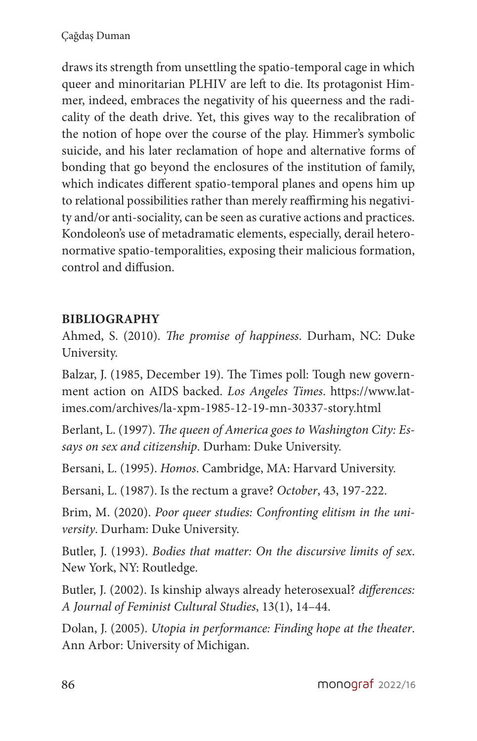draws its strength from unsettling the spatio-temporal cage in which queer and minoritarian PLHIV are left to die. Its protagonist Himmer, indeed, embraces the negativity of his queerness and the radicality of the death drive. Yet, this gives way to the recalibration of the notion of hope over the course of the play. Himmer's symbolic suicide, and his later reclamation of hope and alternative forms of bonding that go beyond the enclosures of the institution of family, which indicates different spatio-temporal planes and opens him up to relational possibilities rather than merely reaffirming his negativity and/or anti-sociality, can be seen as curative actions and practices. Kondoleon's use of metadramatic elements, especially, derail heteronormative spatio-temporalities, exposing their malicious formation, control and diffusion.

#### **BIBLIOGRAPHY**

Ahmed, S. (2010). *The promise of happiness*. Durham, NC: Duke University.

Balzar, J. (1985, December 19). The Times poll: Tough new government action on AIDS backed. *Los Angeles Times*. https://www.latimes.com/archives/la-xpm-1985-12-19-mn-30337-story.html

Berlant, L. (1997). *The queen of America goes to Washington City: Essays on sex and citizenship*. Durham: Duke University.

Bersani, L. (1995). *Homos*. Cambridge, MA: Harvard University.

Bersani, L. (1987). Is the rectum a grave? *October*, 43, 197-222.

Brim, M. (2020). *Poor queer studies: Confronting elitism in the university*. Durham: Duke University.

Butler, J. (1993). *Bodies that matter: On the discursive limits of sex*. New York, NY: Routledge.

Butler, J. (2002). Is kinship always already heterosexual? *differences: A Journal of Feminist Cultural Studies*, 13(1), 14–44.

Dolan, J. (2005). *Utopia in performance: Finding hope at the theater*. Ann Arbor: University of Michigan.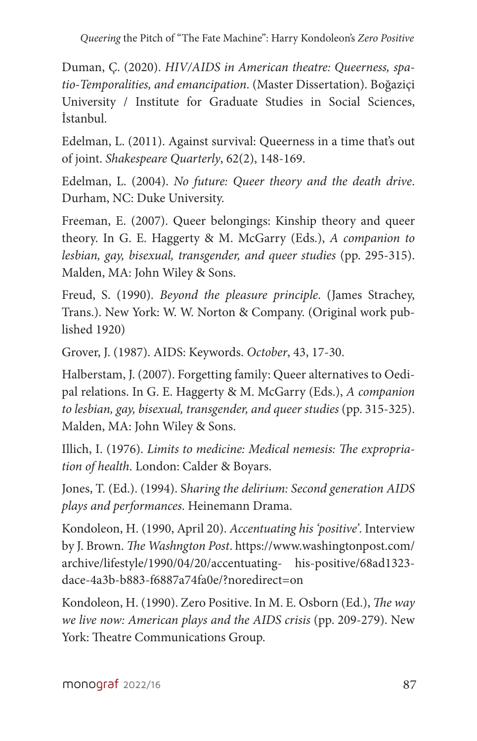*Queering* the Pitch of "The Fate Machine": Harry Kondoleon's *Zero Positive*

Duman, Ç. (2020). *HIV/AIDS in American theatre: Queerness, spatio-Temporalities, and emancipation*. (Master Dissertation). Boğaziçi University / Institute for Graduate Studies in Social Sciences, İstanbul.

Edelman, L. (2011). Against survival: Queerness in a time that's out of joint. *Shakespeare Quarterly*, 62(2), 148-169.

Edelman, L. (2004). *No future: Queer theory and the death drive*. Durham, NC: Duke University.

Freeman, E. (2007). Queer belongings: Kinship theory and queer theory. In G. E. Haggerty & M. McGarry (Eds.), *A companion to lesbian, gay, bisexual, transgender, and queer studies* (pp. 295-315). Malden, MA: John Wiley & Sons.

Freud, S. (1990). *Beyond the pleasure principle*. (James Strachey, Trans.). New York: W. W. Norton & Company. (Original work published 1920)

Grover, J. (1987). AIDS: Keywords. *October*, 43, 17-30.

Halberstam, J. (2007). Forgetting family: Queer alternatives to Oedipal relations. In G. E. Haggerty & M. McGarry (Eds.), *A companion to lesbian, gay, bisexual, transgender, and queer studies* (pp. 315-325). Malden, MA: John Wiley & Sons.

Illich, I. (1976). *Limits to medicine: Medical nemesis: The expropriation of health*. London: Calder & Boyars.

Jones, T. (Ed.). (1994). S*haring the delirium: Second generation AIDS plays and performances*. Heinemann Drama.

Kondoleon, H. (1990, April 20). *Accentuating his 'positive'*. Interview by J. Brown. *The Washngton Post*. https://www.washingtonpost.com/ archive/lifestyle/1990/04/20/accentuating- his-positive/68ad1323 dace-4a3b-b883-f6887a74fa0e/?noredirect=on

Kondoleon, H. (1990). Zero Positive. In M. E. Osborn (Ed.), *The way we live now: American plays and the AIDS crisis* (pp. 209-279). New York: Theatre Communications Group.